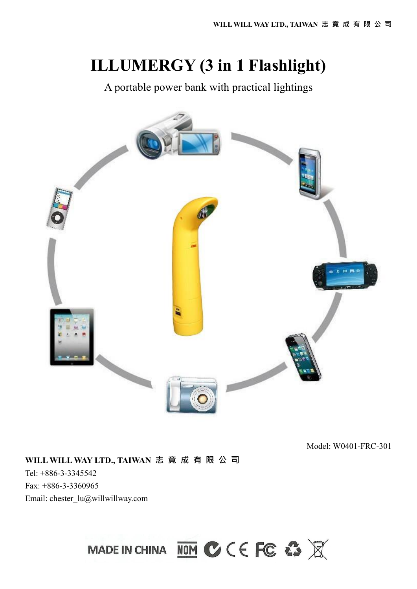# **ILLUMERGY (3 in 1 Flashlight)**

A portable power bank with practical lightings



Model: W0401-FRC-301

### **WILL WILL WAY LTD., TAIWAN 志 竟 成 有 限 公 司**

Tel: +886-3-3345542 Fax: +886-3-3360965 Email: chester\_lu@willwillway.com

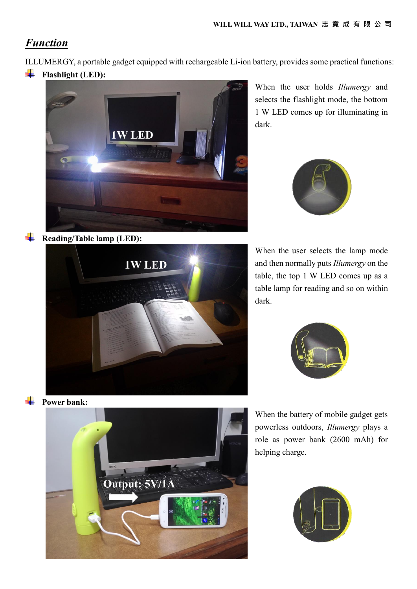## *Function*

ILLUMERGY, a portable gadget equipped with rechargeable Li-ion battery, provides some practical functions:

÷ **Flashlight (LED):**



When the user holds *Illumergy* and selects the flashlight mode, the bottom 1 W LED comes up for illuminating in dark.



**Reading/Table lamp (LED):**



When the user selects the lamp mode and then normally puts *Illumergy* on the table, the top 1 W LED comes up as a table lamp for reading and so on within dark.



**Power bank:**



When the battery of mobile gadget gets powerless outdoors, *Illumergy* plays a role as power bank (2600 mAh) for helping charge.

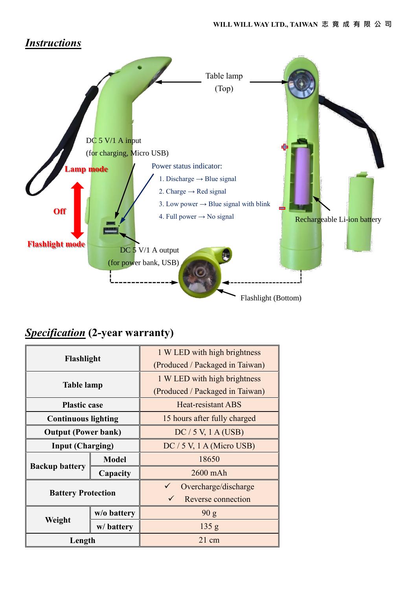### *Instructions*



# *Specification* **(2-year warranty)**

| Flashlight                 |              | 1 W LED with high brightness    |
|----------------------------|--------------|---------------------------------|
|                            |              | (Produced / Packaged in Taiwan) |
| <b>Table lamp</b>          |              | 1 W LED with high brightness    |
|                            |              | (Produced / Packaged in Taiwan) |
| <b>Plastic case</b>        |              | Heat-resistant ABS              |
| <b>Continuous lighting</b> |              | 15 hours after fully charged    |
| <b>Output (Power bank)</b> |              | $DC / 5 V$ , 1 A (USB)          |
| <b>Input (Charging)</b>    |              | $DC / 5 V$ , 1 A (Micro USB)    |
| <b>Backup battery</b>      | <b>Model</b> | 18650                           |
|                            | Capacity     | 2600 mAh                        |
| <b>Battery Protection</b>  |              | Overcharge/discharge            |
|                            |              | Reverse connection              |
| Weight                     | w/o battery  | 90 g                            |
|                            | w/battery    | 135 g                           |
| Length                     |              | $21 \text{ cm}$                 |